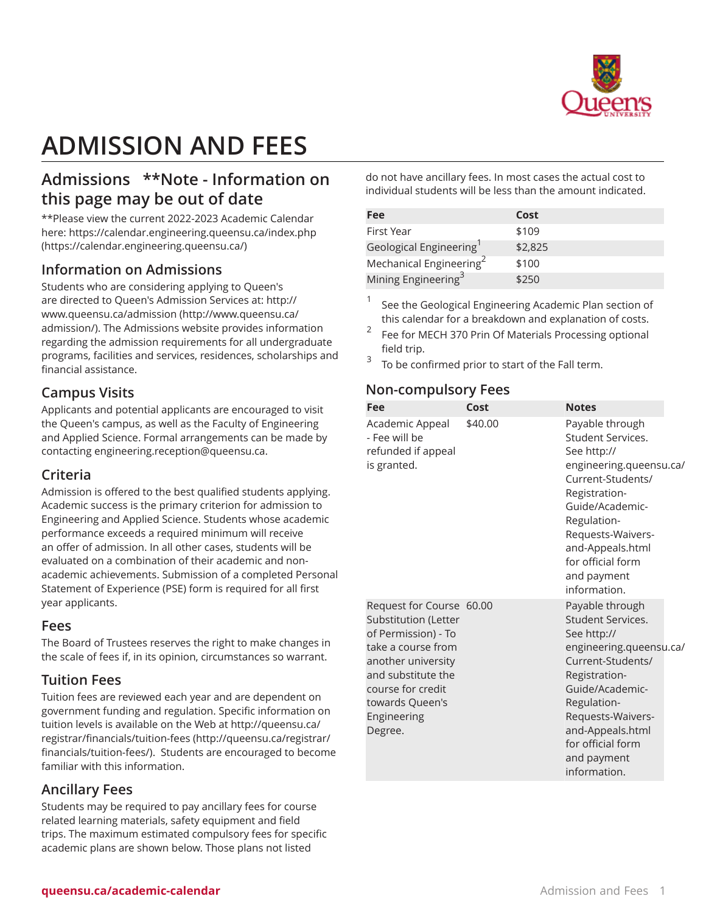

# **ADMISSION AND FEES**

# **Admissions \*\*Note - Information on this page may be out of date**

\*\*Please view the current 2022-2023 Academic Calendar here: [https://calendar.engineering.queensu.ca/index.php](https://calendar.engineering.queensu.ca/) ([https://calendar.engineering.queensu.ca/\)](https://calendar.engineering.queensu.ca/)

#### **Information on Admissions**

Students who are considering applying to Queen's are directed to Queen's Admission Services at: [http://](http://www.queensu.ca/admission/) [www.queensu.ca/admission](http://www.queensu.ca/admission/) [\(http://www.queensu.ca/](http://www.queensu.ca/admission/) [admission/](http://www.queensu.ca/admission/)). The Admissions website provides information regarding the admission requirements for all undergraduate programs, facilities and services, residences, scholarships and financial assistance.

## **Campus Visits**

Applicants and potential applicants are encouraged to visit the Queen's campus, as well as the Faculty of Engineering and Applied Science. Formal arrangements can be made by contacting [engineering.reception@queensu.ca](mailto:engineering.reception@queensu.ca).

#### **Criteria**

Admission is offered to the best qualified students applying. Academic success is the primary criterion for admission to Engineering and Applied Science. Students whose academic performance exceeds a required minimum will receive an offer of admission. In all other cases, students will be evaluated on a combination of their academic and nonacademic achievements. Submission of a completed Personal Statement of Experience (PSE) form is required for all first year applicants.

#### **Fees**

The Board of Trustees reserves the right to make changes in the scale of fees if, in its opinion, circumstances so warrant.

## **Tuition Fees**

Tuition fees are reviewed each year and are dependent on government funding and regulation. Specific information on tuition levels is available on the Web at [http://queensu.ca/](http://queensu.ca/registrar/financials/tuition-fees/) [registrar/financials/tuition-fees](http://queensu.ca/registrar/financials/tuition-fees/) [\(http://queensu.ca/registrar/](http://queensu.ca/registrar/financials/tuition-fees/) [financials/tuition-fees/\)](http://queensu.ca/registrar/financials/tuition-fees/). Students are encouraged to become familiar with this information.

# **Ancillary Fees**

Students may be required to pay ancillary fees for course related learning materials, safety equipment and field trips. The maximum estimated compulsory fees for specific academic plans are shown below. Those plans not listed

do not have ancillary fees. In most cases the actual cost to individual students will be less than the amount indicated.

| Fee                                 | Cost    |
|-------------------------------------|---------|
| First Year                          | \$109   |
| Geological Engineering              | \$2,825 |
| Mechanical Engineering <sup>2</sup> | \$100   |
| Mining Engineering <sup>3</sup>     | \$250   |

1 See the Geological Engineering Academic Plan section of this calendar for a breakdown and explanation of costs.

- 2 Fee for MECH 370 Prin Of Materials Processing optional field trip.
- 3 To be confirmed prior to start of the Fall term.

## **Non-compulsory Fees**

| Fee                                                                                                                                                                                                         | Cost    | <b>Notes</b>                                                                                                                                                                                                                                        |  |
|-------------------------------------------------------------------------------------------------------------------------------------------------------------------------------------------------------------|---------|-----------------------------------------------------------------------------------------------------------------------------------------------------------------------------------------------------------------------------------------------------|--|
| Academic Appeal<br>- Fee will be<br>refunded if appeal<br>is granted.                                                                                                                                       | \$40.00 | Payable through<br>Student Services.<br>See http://<br>engineering.queensu.ca/<br>Current-Students/<br>Registration-<br>Guide/Academic-<br>Regulation-<br>Requests-Waivers-<br>and-Appeals.html<br>for official form<br>and payment<br>information. |  |
| Request for Course 60.00<br>Substitution (Letter<br>of Permission) - To<br>take a course from<br>another university<br>and substitute the<br>course for credit<br>towards Queen's<br>Engineering<br>Degree. |         | Payable through<br>Student Services.<br>See http://<br>engineering.queensu.ca/<br>Current-Students/<br>Registration-<br>Guide/Academic-<br>Regulation-<br>Requests-Waivers-<br>and-Appeals.html<br>for official form<br>and payment<br>information. |  |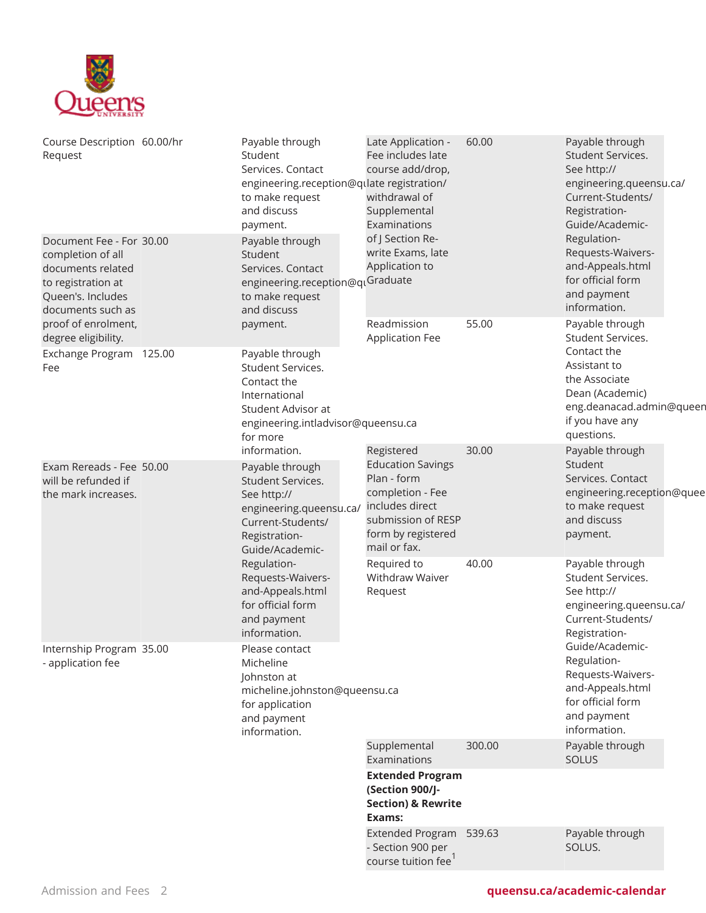

| Course Description 60.00/hr<br>Request                                                                                             |                                                                                                                                                                                                                                                                     | Payable through<br>Student<br>Services. Contact<br>engineering.reception@qulate registration/<br>to make request<br>and discuss<br>payment.              | Late Application -<br>Fee includes late<br>course add/drop,<br>withdrawal of<br>Supplemental<br>Examinations | 60.00                                                                                                                       | Payable through<br>Student Services.<br>See http://<br>engineering.queensu.ca/<br>Current-Students/<br>Registration-<br>Guide/Academic-                              |  |
|------------------------------------------------------------------------------------------------------------------------------------|---------------------------------------------------------------------------------------------------------------------------------------------------------------------------------------------------------------------------------------------------------------------|----------------------------------------------------------------------------------------------------------------------------------------------------------|--------------------------------------------------------------------------------------------------------------|-----------------------------------------------------------------------------------------------------------------------------|----------------------------------------------------------------------------------------------------------------------------------------------------------------------|--|
| Document Fee - For 30.00<br>completion of all<br>documents related<br>to registration at<br>Queen's. Includes<br>documents such as |                                                                                                                                                                                                                                                                     | Payable through<br>Student<br>Services. Contact<br>engineering.reception@qLGraduate<br>to make request<br>and discuss                                    | of J Section Re-<br>write Exams, late<br>Application to                                                      |                                                                                                                             | Regulation-<br>Requests-Waivers-<br>and-Appeals.html<br>for official form<br>and payment<br>information.                                                             |  |
| proof of enrolment,<br>degree eligibility.<br>Exchange Program 125.00<br>Fee                                                       |                                                                                                                                                                                                                                                                     | payment.<br>Payable through<br>Student Services.<br>Contact the<br>International<br>Student Advisor at<br>engineering.intladvisor@queensu.ca<br>for more | Readmission<br><b>Application Fee</b>                                                                        | 55.00                                                                                                                       | Payable through<br>Student Services.<br>Contact the<br>Assistant to<br>the Associate<br>Dean (Academic)<br>eng.deanacad.admin@queen<br>if you have any<br>questions. |  |
| Exam Rereads - Fee 50.00<br>will be refunded if<br>the mark increases.                                                             | information.<br>Payable through<br>Student Services.<br>See http://<br>engineering.queensu.ca/<br>Current-Students/<br>Registration-<br>Guide/Academic-<br>Regulation-<br>Requests-Waivers-<br>and-Appeals.html<br>for official form<br>and payment<br>information. | Registered<br><b>Education Savings</b><br>Plan - form<br>completion - Fee<br>includes direct<br>submission of RESP<br>form by registered<br>mail or fax. | 30.00                                                                                                        | Payable through<br>Student<br>Services. Contact<br>engineering.reception@quee<br>to make request<br>and discuss<br>payment. |                                                                                                                                                                      |  |
|                                                                                                                                    |                                                                                                                                                                                                                                                                     | Required to<br>Withdraw Waiver<br>Request                                                                                                                | 40.00                                                                                                        | Payable through<br>Student Services.<br>See http://<br>engineering.queensu.ca/<br>Current-Students/<br>Registration-        |                                                                                                                                                                      |  |
| Internship Program 35.00<br>- application fee                                                                                      |                                                                                                                                                                                                                                                                     | Please contact<br>Micheline<br>Johnston at<br>micheline.johnston@queensu.ca<br>for application<br>and payment<br>information.                            |                                                                                                              |                                                                                                                             | Guide/Academic-<br>Regulation-<br>Requests-Waivers-<br>and-Appeals.html<br>for official form<br>and payment<br>information.                                          |  |
|                                                                                                                                    |                                                                                                                                                                                                                                                                     |                                                                                                                                                          | Supplemental<br>Examinations                                                                                 | 300.00                                                                                                                      | Payable through<br><b>SOLUS</b>                                                                                                                                      |  |
|                                                                                                                                    |                                                                                                                                                                                                                                                                     |                                                                                                                                                          | <b>Extended Program</b><br>(Section 900/J-<br><b>Section) &amp; Rewrite</b><br>Exams:                        |                                                                                                                             |                                                                                                                                                                      |  |
|                                                                                                                                    |                                                                                                                                                                                                                                                                     |                                                                                                                                                          | Extended Program 539.63<br>- Section 900 per<br>course tuition fee <sup>1</sup>                              |                                                                                                                             | Payable through<br>SOLUS.                                                                                                                                            |  |